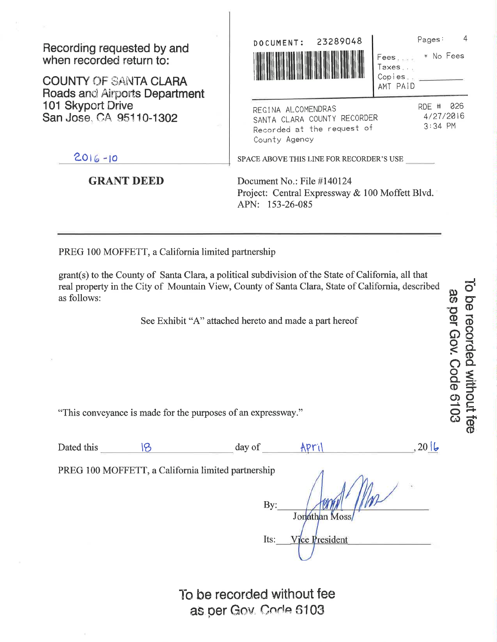Recording requested by and when recorded return to:

**COUNTY OF SANTA CLARA Roads and Airports Department** 101 Skyport Drive San Jose, CA 95110-1302

 $2016 - 10$ 

## **GRANT DEED**

Pages: 23289048 DOCUMENT: \* No Fees Fees. ... Taxes... Copies. AMT PAID RDE # 026 REGINA ALCOMENDRAS 4/27/2016 SANTA CLARA COUNTY RECORDER  $3:34$  PM Recorded at the request of County Agency SPACE ABOVE THIS LINE FOR RECORDER'S USE

 $\overline{4}$ 

To be recorded without fee as per Gov. Code 6103

Document No.: File #140124 Project: Central Expressway & 100 Moffett Blvd. APN: 153-26-085

PREG 100 MOFFETT, a California limited partnership

grant(s) to the County of Santa Clara, a political subdivision of the State of California, all that real property in the City of Mountain View, County of Santa Clara, State of California, described as follows:

See Exhibit "A" attached hereto and made a part hereof

"This conveyance is made for the purposes of an expressway."

| Dated this | day oi | ne. |  |
|------------|--------|-----|--|
|            |        |     |  |

PREG 100 MOFFETT, a California limited partnership

 $By:$ Jonathan Moss Vice President Its:

To be recorded without fee as per Gov. Code 6103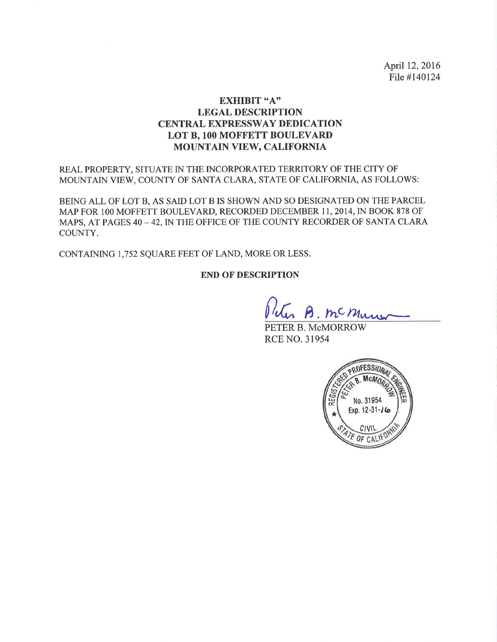April 12, 2016 File #140124

### EXHIBIT "A" LEGAL DESCRIPTION **CENTRAL EXPRESSWAY DEDICATION** LOT B, 100 MOFFETT BOULEVARD MOUNTAIN VIEW, CALIFORNIA

REAL PROPERTY, SITUATE IN THE INCORPORATED TERRITORY OF THE CITY OF MOUNTAIN VIEW, COUNTY OF SANTA CLARA, STATE OF CALIFORNIA, AS FOLLOWS:

BEING ALL OF LOT B, AS SAID LOT B IS SHOWN AND SO DESIGNATED ON THE PARCEL MAP FOR lOO MOFFETT BOULEVARD, RECORDED DECEMBER I I, 2014, IN BOOK 878 OF MAPS, AT PAGES 40 - 42, IN THE OFFICE OF THE COUNTY RECORDER OF SANTA CLARA COUNTY.

CONTAINING 1,752 SQUARE FEET OF LAND, MORE OR LESS.

#### END OF DESCRIPTION

B. mc Mury

PETER B. McMORROW RCE NO. 31954

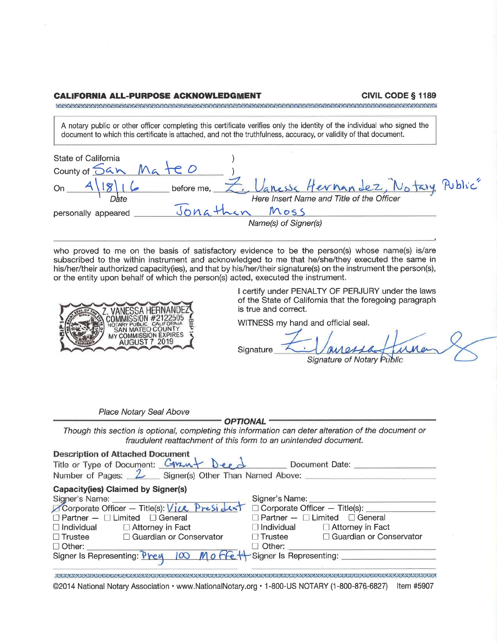#### **CALIFORNIA ALL-PURPOSE ACKNOWLEDGMENT**

**CIVIL CODE § 1189** 

A notary public or other officer completing this certificate verifies only the identity of the individual who signed the document to which this certificate is attached, and not the truthfulness, accuracy, or validity of that document.

| State of California<br>county of San MateD |                                                                               |
|--------------------------------------------|-------------------------------------------------------------------------------|
| before me.                                 | Vanessa Hernandez, Notary Public<br>Here Insert Name and Title of the Officer |
| Jonathan<br>personally appeared            | Moss<br>Name(s) of Signer(s)                                                  |

who proved to me on the basis of satisfactory evidence to be the person(s) whose name(s) is/are subscribed to the within instrument and acknowledged to me that he/she/they executed the same in his/her/their authorized capacity(ies), and that by his/her/their signature(s) on the instrument the person(s), or the entity upon behalf of which the person(s) acted, executed the instrument.



I certify under PENALTY OF PERJURY under the laws of the State of California that the foregoing paragraph is true and correct.

WITNESS my hand and official seal.

**Signature** 

Place Notary Seal Above

**OPTIONAL-**

Though this section is optional, completing this information can deter alteration of the document or fraudulent reattachment of this form to an unintended document.

| <b>Description of Attached Document</b><br>Title or Type of Document: Crant Deed Document Date:<br>Number of Pages: $2$ Signer(s) Other Than Named Above: $\frac{1}{2}$                                                            |                                               |  |  |
|------------------------------------------------------------------------------------------------------------------------------------------------------------------------------------------------------------------------------------|-----------------------------------------------|--|--|
| <b>Capacity(ies) Claimed by Signer(s)</b>                                                                                                                                                                                          |                                               |  |  |
|                                                                                                                                                                                                                                    |                                               |  |  |
|                                                                                                                                                                                                                                    | Corporate Officer - Title(s):                 |  |  |
| $\Box$ Partner $ \Box$ Limited $\Box$ General                                                                                                                                                                                      | $\Box$ Partner $-\Box$ Limited $\Box$ General |  |  |
| $\Box$ Individual $\Box$ Attorney in Fact                                                                                                                                                                                          | $\Box$ Individual $\Box$ Attorney in Fact     |  |  |
| □ Trustee □ Guardian or Conservator                                                                                                                                                                                                | □ Trustee □ Guardian or Conservator           |  |  |
|                                                                                                                                                                                                                                    |                                               |  |  |
| □ Other: <u>University Other:</u> University Other: University Other: University Other: University Other: University Other: University Other: University Other: University Other: University Other: University Other: University O |                                               |  |  |
|                                                                                                                                                                                                                                    |                                               |  |  |
|                                                                                                                                                                                                                                    |                                               |  |  |

©2014 National Notary Association • www.NationalNotary.org • 1-800-US NOTARY (1-800-876-6827) Item #5907

Signature of Notary Public